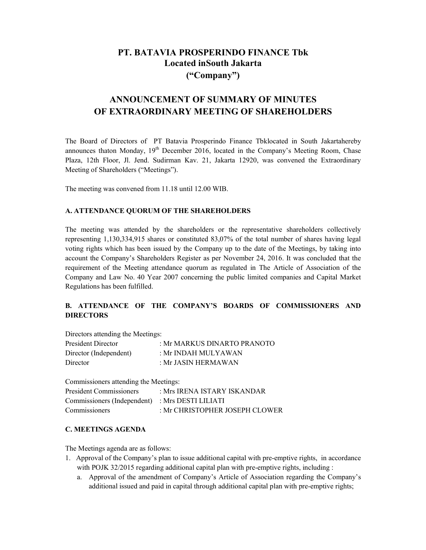# **PT. BATAVIA PROSPERINDO FINANCE Tbk Located inSouth Jakarta ("Company")**

# **ANNOUNCEMENT OF SUMMARY OF MINUTES OF EXTRAORDINARY MEETING OF SHAREHOLDERS**

The Board of Directors of PT Batavia Prosperindo Finance Tbklocated in South Jakartahereby announces thaton Monday,  $19<sup>th</sup>$  December 2016, located in the Company's Meeting Room, Chase Plaza, 12th Floor, Jl. Jend. Sudirman Kav. 21, Jakarta 12920, was convened the Extraordinary Meeting of Shareholders ("Meetings").

The meeting was convened from 11.18 until 12.00 WIB.

### **A. ATTENDANCE QUORUM OF THE SHAREHOLDERS**

The meeting was attended by the shareholders or the representative shareholders collectively representing 1,130,334,915 shares or constituted 83,07% of the total number of shares having legal voting rights which has been issued by the Company up to the date of the Meetings, by taking into account the Company's Shareholders Register as per November 24, 2016. It was concluded that the requirement of the Meeting attendance quorum as regulated in The Article of Association of the Company and Law No. 40 Year 2007 concerning the public limited companies and Capital Market Regulations has been fulfilled.

# **B. ATTENDANCE OF THE COMPANY'S BOARDS OF COMMISSIONERS AND DIRECTORS**

Directors attending the Meetings:

| <b>President Director</b> | : Mr MARKUS DINARTO PRANOTO |
|---------------------------|-----------------------------|
| Director (Independent)    | : Mr INDAH MULYAWAN         |
| Director                  | : Mr JASIN HERMAWAN         |

Commissioners attending the Meetings:

| <b>President Commissioners</b>                  | : Mrs IRENA ISTARY ISKANDAR    |
|-------------------------------------------------|--------------------------------|
| Commissioners (Independent) : Mrs DESTI LILIATI |                                |
| Commissioners                                   | : Mr CHRISTOPHER JOSEPH CLOWER |

#### **C. MEETINGS AGENDA**

The Meetings agenda are as follows:

- 1. Approval of the Company's plan to issue additional capital with pre-emptive rights, in accordance with POJK 32/2015 regarding additional capital plan with pre-emptive rights, including :
	- a. Approval of the amendment of Company's Article of Association regarding the Company's additional issued and paid in capital through additional capital plan with pre-emptive rights;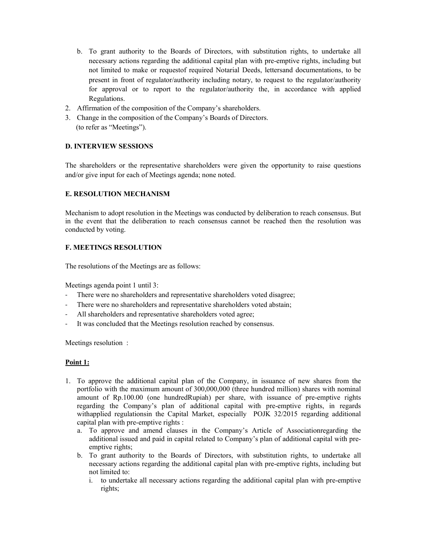- b. To grant authority to the Boards of Directors, with substitution rights, to undertake all necessary actions regarding the additional capital plan with pre-emptive rights, including but not limited to make or requestof required Notarial Deeds, lettersand documentations, to be present in front of regulator/authority including notary, to request to the regulator/authority for approval or to report to the regulator/authority the, in accordance with applied Regulations.
- 2. Affirmation of the composition of the Company's shareholders.
- 3. Change in the composition of the Company's Boards of Directors. (to refer as "Meetings").

#### **D. INTERVIEW SESSIONS**

The shareholders or the representative shareholders were given the opportunity to raise questions and/or give input for each of Meetings agenda; none noted.

#### **E. RESOLUTION MECHANISM**

Mechanism to adopt resolution in the Meetings was conducted by deliberation to reach consensus. But in the event that the deliberation to reach consensus cannot be reached then the resolution was conducted by voting.

#### **F. MEETINGS RESOLUTION**

The resolutions of the Meetings are as follows:

Meetings agenda point 1 until 3:

- There were no shareholders and representative shareholders voted disagree;
- There were no shareholders and representative shareholders voted abstain;
- All shareholders and representative shareholders voted agree;
- It was concluded that the Meetings resolution reached by consensus.

Meetings resolution :

#### **Point 1:**

- 1. To approve the additional capital plan of the Company, in issuance of new shares from the portfolio with the maximum amount of 300,000,000 (three hundred million) shares with nominal amount of Rp.100.00 (one hundredRupiah) per share, with issuance of pre-emptive rights regarding the Company's plan of additional capital with pre-emptive rights, in regards withapplied regulationsin the Capital Market, especially POJK 32/2015 regarding additional capital plan with pre-emptive rights :
	- a. To approve and amend clauses in the Company's Article of Associationregarding the additional issued and paid in capital related to Company's plan of additional capital with preemptive rights;
	- b. To grant authority to the Boards of Directors, with substitution rights, to undertake all necessary actions regarding the additional capital plan with pre-emptive rights, including but not limited to:
		- i. to undertake all necessary actions regarding the additional capital plan with pre-emptive rights;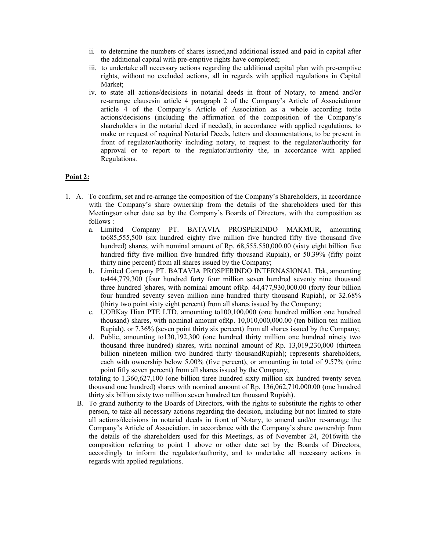- ii. to determine the numbers of shares issued,and additional issued and paid in capital after the additional capital with pre-emptive rights have completed;
- iii. to undertake all necessary actions regarding the additional capital plan with pre-emptive rights, without no excluded actions, all in regards with applied regulations in Capital Market;
- iv. to state all actions/decisions in notarial deeds in front of Notary, to amend and/or re-arrange clausesin article 4 paragraph 2 of the Company's Article of Associationor article 4 of the Company's Article of Association as a whole according tothe actions/decisions (including the affirmation of the composition of the Company's shareholders in the notarial deed if needed), in accordance with applied regulations, to make or request of required Notarial Deeds, letters and documentations, to be present in front of regulator/authority including notary, to request to the regulator/authority for approval or to report to the regulator/authority the, in accordance with applied Regulations.

#### **Point 2:**

- 1. A. To confirm, set and re-arrange the composition of the Company's Shareholders, in accordance with the Company's share ownership from the details of the shareholders used for this Meetingsor other date set by the Company's Boards of Directors, with the composition as follows :
	- a. Limited Company PT. BATAVIA PROSPERINDO MAKMUR, amounting to685,555,500 (six hundred eighty five million five hundred fifty five thousand five hundred) shares, with nominal amount of Rp. 68,555,550,000.00 (sixty eight billion five hundred fifty five million five hundred fifty thousand Rupiah), or 50.39% (fifty point thirty nine percent) from all shares issued by the Company;
	- b. Limited Company PT. BATAVIA PROSPERINDO INTERNASIONAL Tbk, amounting to444,779,300 (four hundred forty four million seven hundred seventy nine thousand three hundred )shares, with nominal amount ofRp. 44,477,930,000.00 (forty four billion four hundred seventy seven million nine hundred thirty thousand Rupiah), or 32.68% (thirty two point sixty eight percent) from all shares issued by the Company;
	- c. UOBKay Hian PTE LTD, amounting to100,100,000 (one hundred million one hundred thousand) shares, with nominal amount ofRp. 10,010,000,000.00 (ten billion ten million Rupiah), or 7.36% (seven point thirty six percent) from all shares issued by the Company;
	- d. Public, amounting to130,192,300 (one hundred thirty million one hundred ninety two thousand three hundred) shares, with nominal amount of Rp. 13,019,230,000 (thirteen billion nineteen million two hundred thirty thousandRupiah); represents shareholders, each with ownership below 5.00% (five percent), or amounting in total of 9.57% (nine point fifty seven percent) from all shares issued by the Company;

totaling to 1,360,627,100 (one billion three hundred sixty million six hundred twenty seven thousand one hundred) shares with nominal amount of Rp. 136,062,710,000.00 (one hundred thirty six billion sixty two million seven hundred ten thousand Rupiah).

B. To grand authority to the Boards of Directors, with the rights to substitute the rights to other person, to take all necessary actions regarding the decision, including but not limited to state all actions/decisions in notarial deeds in front of Notary, to amend and/or re-arrange the Company's Article of Association, in accordance with the Company's share ownership from the details of the shareholders used for this Meetings, as of November 24, 2016with the composition referring to point 1 above or other date set by the Boards of Directors, accordingly to inform the regulator/authority, and to undertake all necessary actions in regards with applied regulations.